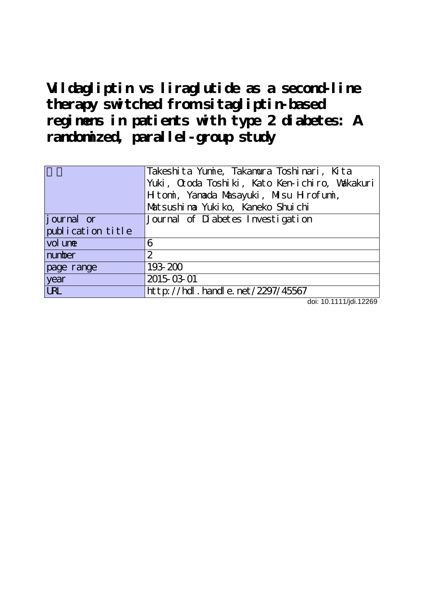**Vildagliptin vs liraglutide as a second-line therapy switched from sitagliptin-based regimens in patients with type 2 diabetes: A randomized, parallel-group study**

|                     | Takeshita Yumie, Takamura Toshinari, Kita      |
|---------------------|------------------------------------------------|
|                     | Yuki, Otoda Toshiki, Kato Ken-ichiro, Wakakuri |
|                     | Htomi, Yanada Masayuki, Misu Hrofumi,          |
|                     | Matsushi na Yuki ko, Kaneko Shuichi            |
| journal or          | Journal of Diabetes Investigation              |
| publication title   |                                                |
| vol un <del>e</del> | 6                                              |
| number              | $\overline{\mathcal{Z}}$                       |
| page range          | 193-200                                        |
| year                | 2015-03-01                                     |
| <b>URL</b>          | http://hdl.handle.net/2297/45567               |

doi: 10.1111/jdi.12269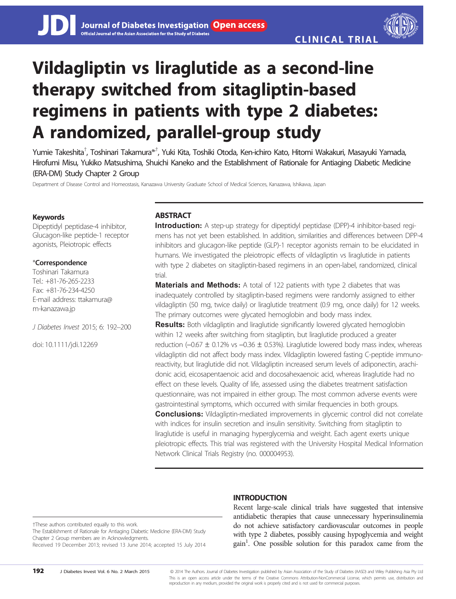# Vildagliptin vs liraglutide as a second-line therapy switched from sitagliptin-based regimens in patients with type 2 diabetes: A randomized, parallel-group study

Yumie Takeshita<sup>†</sup>, Toshinari Takamura<sup>\*,†</sup>, Yuki Kita, Toshiki Otoda, Ken-ichiro Kato, Hitomi Wakakuri, Masayuki Yamada, Hirofumi Misu, Yukiko Matsushima, Shuichi Kaneko and the Establishment of Rationale for Antiaging Diabetic Medicine (ERA-DM) Study Chapter 2 Group

Department of Disease Control and Homeostasis, Kanazawa University Graduate School of Medical Sciences, Kanazawa, Ishikawa, Japan

#### Keywords

Dipeptidyl peptidase-4 inhibitor, Glucagon-like peptide-1 receptor agonists, Pleiotropic effects

## \*Correspondence

Toshinari Takamura Tel.: +81-76-265-2233 Fax: +81-76-234-4250 E-mail address: ttakamura@ m-kanazawa.jp

J Diabetes Invest 2015; 6: 192–200

doi: 10.1111/jdi.12269

# **ABSTRACT**

**Introduction:** A step-up strategy for dipeptidyl peptidase (DPP)-4 inhibitor-based regimens has not yet been established. In addition, similarities and differences between DPP-4 inhibitors and glucagon-like peptide (GLP)-1 receptor agonists remain to be elucidated in humans. We investigated the pleiotropic effects of vildagliptin vs liraglutide in patients with type 2 diabetes on sitagliptin-based regimens in an open-label, randomized, clinical trial.

**Materials and Methods:** A total of 122 patients with type 2 diabetes that was inadequately controlled by sitagliptin-based regimens were randomly assigned to either vildagliptin (50 mg, twice daily) or liraglutide treatment (0.9 mg, once daily) for 12 weeks. The primary outcomes were glycated hemoglobin and body mass index.

**Results:** Both vildagliptin and liraglutide significantly lowered glycated hemoglobin within 12 weeks after switching from sitagliptin, but liraglutide produced a greater reduction  $(-0.67 \pm 0.12\% \text{ vs } -0.36 \pm 0.53\%).$  Liraglutide lowered body mass index, whereas vildagliptin did not affect body mass index. Vildagliptin lowered fasting C-peptide immunoreactivity, but liraglutide did not. Vildagliptin increased serum levels of adiponectin, arachidonic acid, eicosapentaenoic acid and docosahexaenoic acid, whereas liraglutide had no effect on these levels. Quality of life, assessed using the diabetes treatment satisfaction questionnaire, was not impaired in either group. The most common adverse events were gastrointestinal symptoms, which occurred with similar frequencies in both groups. **Conclusions:** Vildagliptin-mediated improvements in glycemic control did not correlate with indices for insulin secretion and insulin sensitivity. Switching from sitagliptin to liraglutide is useful in managing hyperglycemia and weight. Each agent exerts unique pleiotropic effects. This trial was registered with the University Hospital Medical Information Network Clinical Trials Registry (no. 000004953).

†These authors contributed equally to this work. The Establishment of Rationale for Antiaging Diabetic Medicine (ERA-DM) Study Chapter 2 Group members are in Acknowledgments. Received 19 December 2013; revised 13 June 2014; accepted 15 July 2014

## INTRODUCTION

Recent large-scale clinical trials have suggested that intensive antidiabetic therapies that cause unnecessary hyperinsulinemia do not achieve satisfactory cardiovascular outcomes in people with type 2 diabetes, possibly causing hypoglycemia and weight gain<sup>1</sup>. One possible solution for this paradox came from the

192 J Diabetes Invest Vol. 6 No. 2 March 2015 <sup>©</sup> 2014 The Authors. Journal of Diabetes Investigation published by Asian Association of the Study of Diabetes (AASD) and Wiley Publishing Asia Pty Ltd This is an open access article under the terms of the Creative Commons Attribution-NonCommercial License, which permits use, distribution and reproduction in any medium, provided the original work is properly cited and is not used for commercial purposes.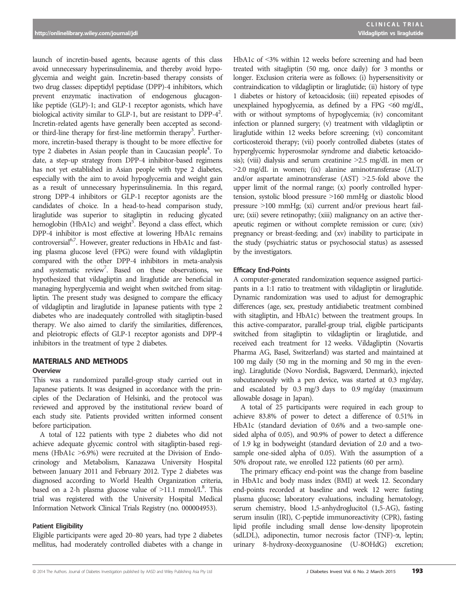launch of incretin-based agents, because agents of this class avoid unnecessary hyperinsulinemia, and thereby avoid hypoglycemia and weight gain. Incretin-based therapy consists of two drug classes: dipeptidyl peptidase (DPP)-4 inhibitors, which prevent enzymatic inactivation of endogenous glucagonlike peptide (GLP)-1; and GLP-1 receptor agonists, which have biological activity similar to GLP-1, but are resistant to DPP-4<sup>2</sup>. Incretin-related agents have generally been accepted as secondor third-line therapy for first-line metformin therapy<sup>3</sup>. Furthermore, incretin-based therapy is thought to be more effective for type 2 diabetes in Asian people than in Caucasian people<sup>4</sup>. To date, a step-up strategy from DPP-4 inhibitor-based regimens has not yet established in Asian people with type 2 diabetes, especially with the aim to avoid hypoglycemia and weight gain as a result of unnecessary hyperinsulinemia. In this regard, strong DPP-4 inhibitors or GLP-1 receptor agonists are the candidates of choice. In a head-to-head comparison study, liraglutide was superior to sitagliptin in reducing glycated hemoglobin (HbA1c) and weight<sup>5</sup>. Beyond a class effect, which DPP-4 inhibitor is most effective at lowering HbA1c remains controversial<sup>6,7</sup>. However, greater reductions in HbA1c and fasting plasma glucose level (FPG) were found with vildagliptin compared with the other DPP-4 inhibitors in meta-analysis and systematic review<sup>7</sup>. Based on these observations, we hypothesized that vildagliptin and liraglutide are beneficial in managing hyperglycemia and weight when switched from sitagliptin. The present study was designed to compare the efficacy of vildagliptin and liraglutide in Japanese patients with type 2 diabetes who are inadequately controlled with sitagliptin-based therapy. We also aimed to clarify the similarities, differences, and pleiotropic effects of GLP-1 receptor agonists and DPP-4 inhibitors in the treatment of type 2 diabetes.

# MATERIALS AND METHODS

# **Overview**

This was a randomized parallel-group study carried out in Japanese patients. It was designed in accordance with the principles of the Declaration of Helsinki, and the protocol was reviewed and approved by the institutional review board of each study site. Patients provided written informed consent before participation.

A total of 122 patients with type 2 diabetes who did not achieve adequate glycemic control with sitagliptin-based regimens (HbA1c >6.9%) were recruited at the Division of Endocrinology and Metabolism, Kanazawa University Hospital between January 2011 and February 2012. Type 2 diabetes was diagnosed according to World Health Organization criteria, based on a 2-h plasma glucose value of  $>11.1$  mmol/L<sup>8</sup>. This trial was registered with the University Hospital Medical Information Network Clinical Trials Registry (no. 000004953).

## Patient Eligibility

Eligible participants were aged 20–80 years, had type 2 diabetes mellitus, had moderately controlled diabetes with a change in HbA1c of <3% within 12 weeks before screening and had been treated with sitagliptin (50 mg, once daily) for 3 months or longer. Exclusion criteria were as follows: (i) hypersensitivity or contraindication to vildagliptin or liraglutide; (ii) history of type 1 diabetes or history of ketoacidosis; (iii) repeated episodes of unexplained hypoglycemia, as defined by a FPG  $\leq 60$  mg/dL, with or without symptoms of hypoglycemia; (iv) concomitant infection or planned surgery; (v) treatment with vildagliptin or liraglutide within 12 weeks before screening; (vi) concomitant corticosteroid therapy; (vii) poorly controlled diabetes (states of hyperglycemic hyperosmolar syndrome and diabetic ketoacidosis); (viii) dialysis and serum creatinine >2.5 mg/dL in men or >2.0 mg/dL in women; (ix) alanine aminotransferase (ALT) and/or aspartate aminotransferase (AST) >2.5-fold above the upper limit of the normal range; (x) poorly controlled hypertension, systolic blood pressure >160 mmHg or diastolic blood pressure >100 mmHg; (xi) current and/or previous heart failure; (xii) severe retinopathy; (xiii) malignancy on an active therapeutic regimen or without complete remission or cure; (xiv) pregnancy or breast-feeding; and (xv) inability to participate in the study (psychiatric status or psychosocial status) as assessed by the investigators.

#### Efficacy End-Points

A computer-generated randomization sequence assigned participants in a 1:1 ratio to treatment with vildagliptin or liraglutide. Dynamic randomization was used to adjust for demographic differences (age, sex, prestudy antidiabetic treatment combined with sitagliptin, and HbA1c) between the treatment groups. In this active-comparator, parallel-group trial, eligible participants switched from sitagliptin to vildagliptin or liraglutide, and received each treatment for 12 weeks. Vildagliptin (Novartis Pharma AG, Basel, Switzerland) was started and maintained at 100 mg daily (50 mg in the morning and 50 mg in the evening). Liraglutide (Novo Nordisk, Bagsværd, Denmark), injected subcutaneously with a pen device, was started at 0.3 mg/day, and escalated by 0.3 mg/3 days to 0.9 mg/day (maximum allowable dosage in Japan).

A total of 25 participants were required in each group to achieve 83.8% of power to detect a difference of 0.51% in HbA1c (standard deviation of 0.6% and a two-sample onesided alpha of 0.05), and 90.9% of power to detect a difference of 1.9 kg in bodyweight (standard deviation of 2.0 and a twosample one-sided alpha of 0.05). With the assumption of a 50% dropout rate, we enrolled 122 patients (60 per arm).

The primary efficacy end-point was the change from baseline in HbA1c and body mass index (BMI) at week 12. Secondary end-points recorded at baseline and week 12 were: fasting plasma glucose; laboratory evaluations, including hematology, serum chemistry, blood 1,5-anhydroglucitol (1,5-AG), fasting serum insulin (IRI), C-peptide immunoreactivity (CPR), fasting lipid profile including small dense low-density lipoprotein (sdLDL), adiponectin, tumor necrosis factor (TNF)-a, leptin; urinary 8-hydroxy-deoxyguanosine (U-8OHdG) excretion;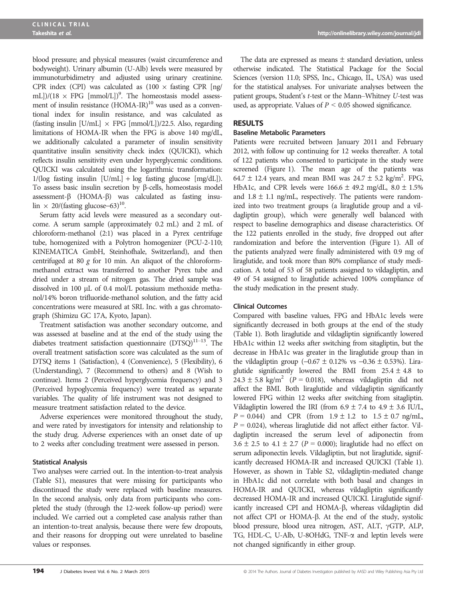blood pressure; and physical measures (waist circumference and bodyweight). Urinary albumin (U-Alb) levels were measured by immunoturbidimetry and adjusted using urinary creatinine. CPR index (CPI) was calculated as  $(100 \times$  fasting CPR [ng/ mL])/(18  $\times$  FPG [mmol/L])<sup>9</sup>. The homeostasis model assessment of insulin resistance (HOMA-IR)<sup>10</sup> was used as a conventional index for insulin resistance, and was calculated as (fasting insulin [U/mL]  $\times$  FPG [mmol/L])/22.5. Also, regarding limitations of HOMA-IR when the FPG is above 140 mg/dL, we additionally calculated a parameter of insulin sensitivity quantitative insulin sensitivity check index (QUICKI), which reflects insulin sensitivity even under hyperglycemic conditions. QUICKI was calculated using the logarithmic transformation:  $1/(\log fasting)$  insulin  $[U/mL] + \log fasting$  glucose  $[mg/dL])$ . To assess basic insulin secretion by  $\beta$ -cells, homeostasis model assessment- $\beta$  (HOMA- $\beta$ ) was calculated as fasting insulin  $\times$  20/(fasting glucose-63)<sup>10</sup>.

Serum fatty acid levels were measured as a secondary outcome. A serum sample (approximately 0.2 mL) and 2 mL of chloroform-methanol (2:1) was placed in a Pyrex centrifuge tube, homogenized with a Polytron homogenizer (PCU-2-110; KINEMATICA GmbH, Steinhofhale, Switzerland), and then centrifuged at 80 g for 10 min. An aliquot of the chloroformmethanol extract was transferred to another Pyrex tube and dried under a stream of nitrogen gas. The dried sample was dissolved in 100 µL of 0.4 mol/L potassium methoxide methanol/14% boron trifluoride-methanol solution, and the fatty acid concentrations were measured at SRL Inc. with a gas chromatograph (Shimizu GC 17A, Kyoto, Japan).

Treatment satisfaction was another secondary outcome, and was assessed at baseline and at the end of the study using the diabetes treatment satisfaction questionnaire  $(DTSQ)^{11-13}$ . The overall treatment satisfaction score was calculated as the sum of DTSQ items 1 (Satisfaction), 4 (Convenience), 5 (Flexibility), 6 (Understanding), 7 (Recommend to others) and 8 (Wish to continue). Items 2 (Perceived hyperglycemia frequency) and 3 (Perceived hypoglycemia frequency) were treated as separate variables. The quality of life instrument was not designed to measure treatment satisfaction related to the device.

Adverse experiences were monitored throughout the study, and were rated by investigators for intensity and relationship to the study drug. Adverse experiences with an onset date of up to 2 weeks after concluding treatment were assessed in person.

#### Statistical Analysis

Two analyses were carried out. In the intention-to-treat analysis (Table S1), measures that were missing for participants who discontinued the study were replaced with baseline measures. In the second analysis, only data from participants who completed the study (through the 12-week follow-up period) were included. We carried out a completed case analysis rather than an intention-to-treat analysis, because there were few dropouts, and their reasons for dropping out were unrelated to baseline values or responses.

The data are expressed as means  $\pm$  standard deviation, unless otherwise indicated. The Statistical Package for the Social Sciences (version 11.0; SPSS, Inc., Chicago, IL, USA) was used for the statistical analyses. For univariate analyses between the patient groups, Student'<sup>s</sup> t-test or the Mann–Whitney U-test was used, as appropriate. Values of  $P < 0.05$  showed significance.

## RESULTS

## Baseline Metabolic Parameters

Patients were recruited between January 2011 and February 2012, with follow up continuing for 12 weeks thereafter. A total of 122 patients who consented to participate in the study were screened (Figure 1). The mean age of the patients was 64.7  $\pm$  12.4 years, and mean BMI was 24.7  $\pm$  5.2 kg/m<sup>2</sup>. FPG, HbA1c, and CPR levels were  $166.6 \pm 49.2$  mg/dL,  $8.0 \pm 1.5\%$ and  $1.8 \pm 1.1$  ng/mL, respectively. The patients were randomized into two treatment groups (a liraglutide group and a vildagliptin group), which were generally well balanced with respect to baseline demographics and disease characteristics. Of the 122 patients enrolled in the study, five dropped out after randomization and before the intervention (Figure 1). All of the patients analyzed were finally administered with 0.9 mg of liraglutide, and took more than 80% compliance of study medication. A total of 53 of 58 patients assigned to vildagliptin, and 49 of 54 assigned to liraglutide achieved 100% compliance of the study medication in the present study.

## Clinical Outcomes

Compared with baseline values, FPG and HbA1c levels were significantly decreased in both groups at the end of the study (Table 1). Both liraglutide and vildagliptin significantly lowered HbA1c within 12 weeks after switching from sitagliptin, but the decrease in HbA1c was greater in the liraglutide group than in the vildagliptin group  $(-0.67 \pm 0.12\% \text{ vs } -0.36 \pm 0.53\%).$  Liraglutide significantly lowered the BMI from  $25.4 \pm 4.8$  to 24.3  $\pm$  5.8 kg/m<sup>2</sup> (P = 0.018), whereas vildagliptin did not affect the BMI. Both liraglutide and vildagliptin significantly lowered FPG within 12 weeks after switching from sitagliptin. Vildagliptin lowered the IRI (from  $6.9 \pm 7.4$  to  $4.9 \pm 3.6$  IU/L,  $P = 0.044$ ) and CPR (from  $1.9 \pm 1.2$  to  $1.5 \pm 0.7$  ng/mL,  $P = 0.024$ ), whereas liraglutide did not affect either factor. Vildagliptin increased the serum level of adiponectin from 3.6  $\pm$  2.5 to 4.1  $\pm$  2.7 (*P* = 0.000); liraglutide had no effect on serum adiponectin levels. Vildagliptin, but not liraglutide, significantly decreased HOMA-IR and increased QUICKI (Table 1). However, as shown in Table S2, vildagliptin-mediated change in HbA1c did not correlate with both basal and changes in HOMA-IR and QUICKI, whereas vildagliptin significantly decreased HOMA-IR and increased QUICKI. Liraglutide significantly increased CPI and HOMA- $\beta$ , whereas vildagliptin did not affect CPI or HOMA-β. At the end of the study, systolic blood pressure, blood urea nitrogen, AST, ALT,  $\gamma$ GTP, ALP, TG, HDL-C, U-Alb, U-8OHdG, TNF-a and leptin levels were not changed significantly in either group.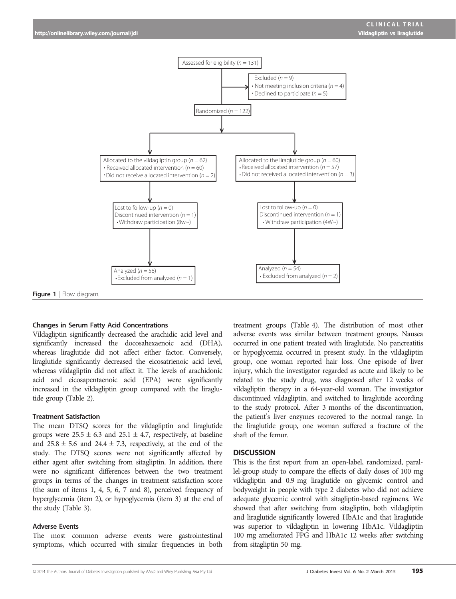

#### Changes in Serum Fatty Acid Concentrations

Vildagliptin significantly decreased the arachidic acid level and significantly increased the docosahexaenoic acid (DHA), whereas liraglutide did not affect either factor. Conversely, liraglutide significantly decreased the eicosatrienoic acid level, whereas vildagliptin did not affect it. The levels of arachidonic acid and eicosapentaenoic acid (EPA) were significantly increased in the vildagliptin group compared with the liraglutide group (Table 2).

#### Treatment Satisfaction

The mean DTSQ scores for the vildagliptin and liraglutide groups were  $25.5 \pm 6.3$  and  $25.1 \pm 4.7$ , respectively, at baseline and  $25.8 \pm 5.6$  and  $24.4 \pm 7.3$ , respectively, at the end of the study. The DTSQ scores were not significantly affected by either agent after switching from sitagliptin. In addition, there were no significant differences between the two treatment groups in terms of the changes in treatment satisfaction score (the sum of items 1, 4, 5, 6, 7 and 8), perceived frequency of hyperglycemia (item 2), or hypoglycemia (item 3) at the end of the study (Table 3).

#### Adverse Events

The most common adverse events were gastrointestinal symptoms, which occurred with similar frequencies in both treatment groups (Table 4). The distribution of most other adverse events was similar between treatment groups. Nausea occurred in one patient treated with liraglutide. No pancreatitis or hypoglycemia occurred in present study. In the vildagliptin group, one woman reported hair loss. One episode of liver injury, which the investigator regarded as acute and likely to be related to the study drug, was diagnosed after 12 weeks of vildagliptin therapy in a 64-year-old woman. The investigator discontinued vildagliptin, and switched to liraglutide according to the study protocol. After 3 months of the discontinuation, the patient's liver enzymes recovered to the normal range. In the liraglutide group, one woman suffered a fracture of the shaft of the femur.

#### **DISCUSSION**

This is the first report from an open-label, randomized, parallel-group study to compare the effects of daily doses of 100 mg vildagliptin and 0.9 mg liraglutide on glycemic control and bodyweight in people with type 2 diabetes who did not achieve adequate glycemic control with sitagliptin-based regimens. We showed that after switching from sitagliptin, both vildagliptin and liraglutide significantly lowered HbA1c and that liraglutide was superior to vildagliptin in lowering HbA1c. Vildagliptin 100 mg ameliorated FPG and HbA1c 12 weeks after switching from sitagliptin 50 mg.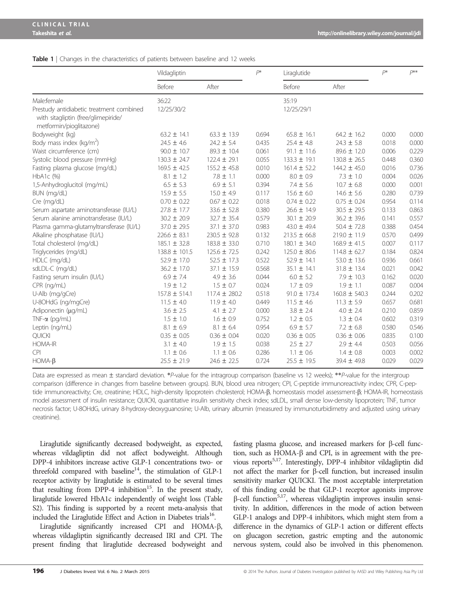# Table 1 | Changes in the characteristics of patients between baseline and 12 weeks

|                                                                                                            | Vildagliptin      |                   | $P^*$ | Liraglutide      | $P^*$             | $P^{**}$ |       |
|------------------------------------------------------------------------------------------------------------|-------------------|-------------------|-------|------------------|-------------------|----------|-------|
|                                                                                                            | Before            | After             |       | Before           | After             |          |       |
| Male:female                                                                                                | 36:22             |                   |       | 35:19            |                   |          |       |
| Prestudy antidiabetic treatment combined<br>with sitagliptin (free/glimepiride/<br>metformin/pioglitazone) | 12/25/30/2        |                   |       | 12/25/29/1       |                   |          |       |
| Bodyweight (kg)                                                                                            | $63.2 \pm 14.1$   | $63.3 \pm 13.9$   | 0.694 | $65.8 \pm 16.1$  | $64.2 \pm 16.2$   | 0.000    | 0.000 |
| Body mass index (kg/m <sup>2</sup> )                                                                       | $24.5 \pm 4.6$    | $24.2 \pm 5.4$    | 0.435 | $25.4 \pm 4.8$   | $24.3 \pm 5.8$    | 0.018    | 0.000 |
| Waist circumference (cm)                                                                                   | $90.0 \pm 10.7$   | $89.3 \pm 10.4$   | 0.061 | $91.1 \pm 11.6$  | $89.6 \pm 12.0$   | 0.006    | 0.229 |
| Systolic blood pressure (mmHg)                                                                             | $130.3 \pm 24.7$  | $122.4 \pm 29.1$  | 0.055 | $133.3 \pm 19.1$ | $130.8 \pm 26.5$  | 0.448    | 0.360 |
| Fasting plasma glucose (mg/dL)                                                                             | $169.5 \pm 42.5$  | $155.2 \pm 45.8$  | 0.010 | $161.4 \pm 52.2$ | $144.2 \pm 45.0$  | 0.016    | 0.736 |
| $HbA1c$ (%)                                                                                                | $8.1 \pm 1.2$     | $7.8 \pm 1.1$     | 0.000 | $8.0 \pm 0.9$    | $7.3 \pm 1.0$     | 0.004    | 0.026 |
| 1,5-Anhydroglucitol (mg/mL)                                                                                | $6.5 \pm 5.3$     | $6.9 \pm 5.1$     | 0.394 | $7.4 \pm 5.6$    | $10.7 \pm 6.8$    | 0.000    | 0.001 |
| BUN (mg/dL)                                                                                                | $15.9 \pm 5.5$    | $15.0 \pm 4.9$    | 0.117 | $15.6 \pm 6.0$   | $14.6 \pm 5.6$    | 0.280    | 0.739 |
| Cre (mg/dL)                                                                                                | $0.70 \pm 0.22$   | $0.67 \pm 0.22$   | 0.018 | $0.74 \pm 0.22$  | $0.75 \pm 0.24$   | 0.954    | 0.114 |
| Serum aspartate aminotransferase (IU/L)                                                                    | $27.8 \pm 17.7$   | $33.6 \pm 52.8$   | 0.380 | $26.6 \pm 14.9$  | $30.5 \pm 29.5$   | 0.133    | 0.863 |
| Serum alanine aminotransferase (IU/L)                                                                      | $30.2 \pm 20.9$   | $32.7 \pm 35.4$   | 0.579 | $30.1 \pm 20.9$  | $36.2 \pm 39.6$   | 0.141    | 0.557 |
| Plasma gamma-glutamyltransferase (IU/L)                                                                    | $37.0 \pm 29.5$   | 37.1 ± 37.0       | 0.983 | $43.0 \pm 49.4$  | $50.4 \pm 72.8$   | 0.388    | 0.454 |
| Alkaline phosphatase (IU/L)                                                                                | $226.6 \pm 83.1$  | $230.5 \pm 92.8$  | 0.132 | $213.5 \pm 66.8$ | $219.0 \pm 11.9$  | 0.570    | 0.499 |
| Total cholesterol (mg/dL)                                                                                  | $185.1 \pm 32.8$  | 183.8 ± 33.0      | 0.710 | 180.1 ± 34.0     | $168.9 \pm 41.5$  | 0.007    | 0.117 |
| Triglycerides (mg/dL)                                                                                      | 138.8 ± 101.5     | $125.6 \pm 72.5$  | 0.242 | $125.0 \pm 80.6$ | $114.8 \pm 62.7$  | 0.184    | 0.824 |
| HDLC (mg/dL)                                                                                               | $52.9 \pm 17.0$   | $52.5 \pm 17.3$   | 0.522 | $52.9 \pm 14.1$  | $53.0 \pm 13.6$   | 0.936    | 0.661 |
| sdLDL-C (mg/dL)                                                                                            | $36.2 \pm 17.0$   | $37.1 \pm 15.9$   | 0.568 | $35.1 \pm 14.1$  | $31.8 \pm 13.4$   | 0.021    | 0.042 |
| Fasting serum insulin (IU/L)                                                                               | $6.9 \pm 7.4$     | $4.9 \pm 3.6$     | 0.044 | $6.0 \pm 5.2$    | $7.9 \pm 10.3$    | 0.162    | 0.020 |
| CPR (ng/mL)                                                                                                | $1.9 \pm 1.2$     | $1.5 \pm 0.7$     | 0.024 | $1.7 \pm 0.9$    | $1.9 \pm 1.1$     | 0.087    | 0.004 |
| U-Alb (mg/gCre)                                                                                            | $157.8 \pm 514.1$ | $117.4 \pm 280.2$ | 0.518 | $91.0 \pm 173.4$ | $160.8 \pm 540.3$ | 0.244    | 0.202 |
| U-80HdG (ng/mgCre)                                                                                         | $11.5 \pm 4.0$    | $11.9 \pm 4.0$    | 0.449 | $11.5 \pm 4.6$   | $11.3 \pm 5.9$    | 0.657    | 0.681 |
| Adiponectin (µg/mL)                                                                                        | $3.6 \pm 2.5$     | $4.1 \pm 2.7$     | 0.000 | $3.8 \pm 2.4$    | $4.0 \pm 2.4$     | 0.210    | 0.859 |
| TNF- $\alpha$ (pg/mL)                                                                                      | $1.5 \pm 1.0$     | $1.6 \pm 0.9$     | 0.752 | $1.2 \pm 0.5$    | $1.3 \pm 0.4$     | 0.602    | 0.319 |
| Leptin (ng/mL)                                                                                             | $8.1 \pm 6.9$     | $8.1 \pm 6.4$     | 0.954 | $6.9 \pm 5.7$    | $7.2 \pm 6.8$     | 0.580    | 0.546 |
| <b>QUICKI</b>                                                                                              | $0.35 \pm 0.05$   | $0.36 \pm 0.04$   | 0.020 | $0.36 \pm 0.05$  | $0.36 \pm 0.06$   | 0.835    | 0.100 |
| <b>HOMA-IR</b>                                                                                             | $3.1 \pm 4.0$     | $1.9 \pm 1.5$     | 0.038 | $2.5 \pm 2.7$    | $2.9 \pm 4.4$     | 0.503    | 0.056 |
| CPI                                                                                                        | $1.1 \pm 0.6$     | $1.1 \pm 0.6$     | 0.286 | $1.1 \pm 0.6$    | $1.4 \pm 0.8$     | 0.003    | 0.002 |
| $HOMA-B$                                                                                                   | $25.5 \pm 21.9$   | $24.6 \pm 22.5$   | 0.724 | $25.5 \pm 19.5$  | 39.4 ± 49.8       | 0.029    | 0.029 |

Data are expressed as mean  $\pm$  standard deviation. \*P-value for the intragroup comparison (baseline vs 12 weeks); \*\*P-value for the intergroup comparison (difference in changes from baseline between groups). BUN, blood urea nitrogen; CPI, C-peptide immunoreactivity index; CPR, C-peptide immunoreactivity; Cre, creatinine; HDLC, high-density lipoprotein cholesterol; HOMA-B, homeostasis model assessment-B; HOMA-IR, homeostasis model assessment of insulin resistance; QUICKI, quantitative insulin sensitivity check index; sdLDL, small dense low-density lipoprotein; TNF, tumor necrosis factor; U-8OHdG, urinary 8-hydroxy-deoxyguanosine; U-Alb, urinary albumin (measured by immunoturbidimetry and adjusted using urinary creatinine).

Liraglutide significantly decreased bodyweight, as expected, whereas vildagliptin did not affect bodyweight. Although DPP-4 inhibitors increase active GLP-1 concentrations two- or threefold compared with baseline<sup>14</sup>, the stimulation of GLP-1 receptor activity by liraglutide is estimated to be several times that resulting from DPP-4 inhibition<sup>15</sup>. In the present study, liraglutide lowered HbA1c independently of weight loss (Table S2). This finding is supported by a recent meta-analysis that included the Liraglutide Effect and Action in Diabetes trials<sup>16</sup>.

Liraglutide significantly increased CPI and HOMA- $\beta$ , whereas vildagliptin significantly decreased IRI and CPI. The present finding that liraglutide decreased bodyweight and fasting plasma glucose, and increased markers for  $\beta$ -cell function, such as  $HOMA-\beta$  and CPI, is in agreement with the previous reports<sup>5,17</sup>. Interestingly, DPP-4 inhibitor vildagliptin did not affect the marker for  $\beta$ -cell function, but increased insulin sensitivity marker QUICKI. The most acceptable interpretation of this finding could be that GLP-1 receptor agonists improve  $\beta$ -cell function<sup>5,17</sup>, whereas vildagliptin improves insulin sensitivity. In addition, differences in the mode of action between GLP-1 analogs and DPP-4 inhibitors, which might stem from a difference in the dynamics of GLP-1 action or different effects on glucagon secretion, gastric empting and the autonomic nervous system, could also be involved in this phenomenon.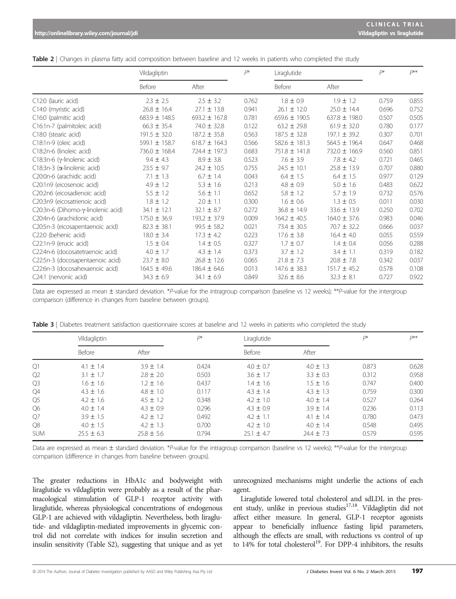|  |  |  | Table 2   Changes in plasma fatty acid composition between baseline and 12 weeks in patients who completed the study |  |  |  |  |  |  |  |  |
|--|--|--|----------------------------------------------------------------------------------------------------------------------|--|--|--|--|--|--|--|--|
|--|--|--|----------------------------------------------------------------------------------------------------------------------|--|--|--|--|--|--|--|--|

|                                        | Vildagliptin     |                   | $P^*$ | Liraglutide       | $P^*$             | $D^{***}$ |       |
|----------------------------------------|------------------|-------------------|-------|-------------------|-------------------|-----------|-------|
|                                        | Before           | After             |       | Before            | After             |           |       |
| C12:0 (lauric acid)                    | $2.3 \pm 2.5$    | $2.5 \pm 3.2$     | 0.762 | $1.8 \pm 0.9$     | $1.9 \pm 1.2$     | 0.759     | 0.855 |
| C14:0 (myristic acid)                  | $26.8 \pm 16.4$  | $27.1 \pm 13.8$   | 0.941 | $26.1 \pm 12.0$   | $25.0 \pm 14.4$   | 0.696     | 0.752 |
| C16:0 (palmitic acid)                  | 683.9 ± 148.5    | $693.2 \pm 167.8$ | 0.781 | $659.6 \pm 190.5$ | 637.8 ± 198.0     | 0.507     | 0.505 |
| C16:1n-7 (palmitoleic acid)            | $66.3 \pm 35.4$  | 74.0 ± 32.8       | 0.122 | $63.2 \pm 29.8$   | $61.9 \pm 32.0$   | 0.780     | 0.177 |
| C18:0 (stearic acid)                   | $191.5 \pm 32.0$ | $187.2 \pm 35.8$  | 0.563 | $187.5 \pm 32.8$  | $197.1 \pm 39.2$  | 0.307     | 0.701 |
| C18:1n-9 (oleic acid)                  | 599.1 ± 158.7    | $618.7 \pm 164.3$ | 0.566 | $582.6 \pm 181.3$ | $564.5 \pm 196.4$ | 0.647     | 0.468 |
| C18:2n-6 (linoleic acid)               | 736.0 ± 168.4    | 724.4 ± 197.3     | 0.683 | 751.8 ± 141.8     | 732.0 ± 166.9     | 0.560     | 0.851 |
| $C18:3n-6$ ( $\gamma$ -linolenic acid) | $9.4 \pm 4.3$    | $8.9 \pm 3.8$     | 0.523 | $7.6 \pm 3.9$     | $7.8 \pm 4.2$     | 0.721     | 0.465 |
| C18:3n-3 (a-linolenic acid)            | $23.5 \pm 9.7$   | $24.2 \pm 10.5$   | 0.755 | $24.5 \pm 10.1$   | $25.8 \pm 13.9$   | 0.707     | 0.880 |
| C20:0n-6 (arachidic acid)              | $7.1 \pm 1.3$    | $6.7 \pm 1.4$     | 0.043 | $6.4 \pm 1.5$     | $6.4 \pm 1.5$     | 0.977     | 0.129 |
| C20:1n9 (eicosenoic acid)              | $4.9 \pm 1.2$    | $5.3 \pm 1.6$     | 0.213 | $4.8 \pm 0.9$     | $5.0 \pm 1.6$     | 0.483     | 0.622 |
| C20:2n6 (eicosadienoic acid)           | $5.5 \pm 1.2$    | $5.6 \pm 1.1$     | 0.652 | $5.8 \pm 1.2$     | $5.7 \pm 1.9$     | 0.732     | 0.576 |
| C20:3n9 (eicosatrienoic acid)          | $1.8 \pm 1.2$    | $2.0 \pm 1.1$     | 0.300 | $1.6 \pm 0.6$     | $1.3 \pm 0.5$     | 0.011     | 0.030 |
| C20:3n-6 (Dihomo-γ-linolenic acid)     | $34.1 \pm 12.1$  | $32.1 \pm 8.7$    | 0.272 | $36.8 \pm 14.9$   | $33.6 \pm 13.9$   | 0.250     | 0.702 |
| C20:4n-6 (arachidonic acid)            | $175.0 \pm 36.9$ | $193.2 \pm 37.9$  | 0.009 | $164.2 \pm 40.5$  | $164.0 \pm 37.6$  | 0.983     | 0.046 |
| C20:5n-3 (eicosapentaenoic acid)       | $82.3 \pm 38.1$  | $99.5 \pm 58.2$   | 0.021 | $73.4 \pm 30.5$   | $70.7 \pm 32.2$   | 0.666     | 0.037 |
| C22:0 (behenic acid)                   | $18.0 \pm 3.4$   | $17.3 \pm 4.2$    | 0.223 | $17.6 \pm 3.8$    | $16.4 \pm 4.0$    | 0.055     | 0.559 |
| C22:1n-9 (erucic acid)                 | $1.5 \pm 0.4$    | $1.4 \pm 0.5$     | 0.327 | $1.7 \pm 0.7$     | $1.4 \pm 0.4$     | 0.056     | 0.288 |
| C22:4n-6 (docosatetraenoic acid)       | $4.0 \pm 1.7$    | $4.3 \pm 1.4$     | 0.373 | $3.7 \pm 1.2$     | $3.4 \pm 1.1$     | 0.319     | 0.182 |
| C22:5n-3 (docosapentaenoic acid)       | $23.7 \pm 8.0$   | $26.8 \pm 12.6$   | 0.065 | $21.8 \pm 7.3$    | $20.8 \pm 7.8$    | 0.342     | 0.037 |
| C22:6n-3 (docosahexaenoic acid)        | $164.5 \pm 49.6$ | $186.4 \pm 64.6$  | 0.013 | $147.6 \pm 38.3$  | $151.7 \pm 45.2$  | 0.578     | 0.108 |
| C24:1 (nervonic acid)                  | $34.3 \pm 6.9$   | $34.1 \pm 6.9$    | 0.849 | $32.6 \pm 8.6$    | $32.3 \pm 8.1$    | 0.727     | 0.922 |

Data are expressed as mean ± standard deviation. \*P-value for the intragroup comparison (baseline vs 12 weeks); \*\*P-value for the intergroup comparison (difference in changes from baseline between groups).

|  | Table 3   Diabetes treatment satisfaction questionnaire scores at baseline and 12 weeks in patients who completed the study |  |  |  |  |  |  |  |  |  |  |  |
|--|-----------------------------------------------------------------------------------------------------------------------------|--|--|--|--|--|--|--|--|--|--|--|
|--|-----------------------------------------------------------------------------------------------------------------------------|--|--|--|--|--|--|--|--|--|--|--|

|                | Vildagliptin   |                | Р*    | Liraglutide    |                | D*    | D**   |  |
|----------------|----------------|----------------|-------|----------------|----------------|-------|-------|--|
|                | Before         | After          |       | Before         | After          |       |       |  |
| Q1             | $4.1 \pm 1.4$  | $3.9 \pm 1.4$  | 0.424 | $4.0 \pm 0.7$  | $4.0 \pm 1.3$  | 0.873 | 0.628 |  |
| Q2             | $3.1 \pm 1.7$  | $2.8 \pm 2.0$  | 0.503 | $3.6 \pm 1.7$  | $3.3 \pm 0.3$  | 0.312 | 0.958 |  |
| Q <sub>3</sub> | $1.6 \pm 1.6$  | $1.2 \pm 1.6$  | 0.437 | $1.4 \pm 1.6$  | $1.5 \pm 1.6$  | 0.747 | 0.400 |  |
| Q4             | $4.3 \pm 1.6$  | $4.8 \pm 1.0$  | 0.117 | $4.3 \pm 1.4$  | $4.3 \pm 1.3$  | 0.759 | 0.300 |  |
| Q <sub>5</sub> | $4.2 \pm 1.6$  | $4.5 \pm 1.2$  | 0.348 | $4.2 \pm 1.0$  | $4.0 \pm 1.4$  | 0.527 | 0.264 |  |
| Q6             | $4.0 \pm 1.4$  | $4.3 \pm 0.9$  | 0.296 | $4.3 \pm 0.9$  | $3.9 \pm 1.4$  | 0.236 | 0.113 |  |
| Q7             | $3.9 \pm 1.5$  | $4.2 \pm 1.2$  | 0.492 | $4.2 \pm 1.1$  | $4.1 \pm 1.4$  | 0.780 | 0.473 |  |
| Q8             | $4.0 \pm 1.5$  | $4.2 \pm 1.3$  | 0.700 | $4.2 \pm 1.0$  | $4.0 \pm 1.4$  | 0.548 | 0.495 |  |
| <b>SUM</b>     | $25.5 \pm 6.3$ | $25.8 \pm 5.6$ | 0.794 | $25.1 \pm 4.7$ | $24.4 \pm 7.3$ | 0.579 | 0.595 |  |

Data are expressed as mean ± standard deviation. \*P-value for the intragroup comparison (baseline vs 12 weeks); \*\*P-value for the intergroup comparison (difference in changes from baseline between groups).

The greater reductions in HbA1c and bodyweight with liraglutide vs vildagliptin were probably as a result of the pharmacological stimulation of GLP-1 receptor activity with liraglutide, whereas physiological concentrations of endogenous GLP-1 are achieved with vildagliptin. Nevertheless, both liraglutide- and vildagliptin-mediated improvements in glycemic control did not correlate with indices for insulin secretion and insulin sensitivity (Table S2), suggesting that unique and as yet

unrecognized mechanisms might underlie the actions of each agent.

Liraglutide lowered total cholesterol and sdLDL in the present study, unlike in previous studies<sup>17,18</sup>. Vildagliptin did not affect either measure. In general, GLP-1 receptor agonists appear to beneficially influence fasting lipid parameters, although the effects are small, with reductions vs control of up to  $14\%$  for total cholesterol<sup>19</sup>. For DPP-4 inhibitors, the results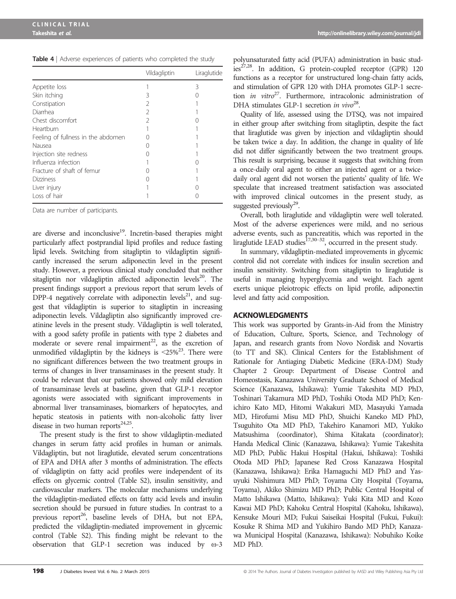|                                    | Vildagliptin | Liraglutide |
|------------------------------------|--------------|-------------|
| Appetite loss                      |              | 3           |
| Skin itching                       | 3            |             |
| Constipation                       |              |             |
| Diarrhea                           | C            |             |
| Chest discomfort                   |              |             |
| Heartburn                          |              |             |
| Feeling of fullness in the abdomen |              |             |
| Nausea                             |              |             |
| Injection site redness             |              |             |
| Influenza infection                |              |             |
| Fracture of shaft of femur         |              |             |
| <b>Dizziness</b>                   |              |             |
| Liver injury                       |              |             |
| Loss of hair                       |              |             |

Data are number of participants.

are diverse and inconclusive<sup>19</sup>. Incretin-based therapies might particularly affect postprandial lipid profiles and reduce fasting lipid levels. Switching from sitagliptin to vildagliptin significantly increased the serum adiponectin level in the present study. However, a previous clinical study concluded that neither sitagliptin nor vildagliptin affected adiponectin levels<sup>20</sup>. The present findings support a previous report that serum levels of DPP-4 negatively correlate with adiponectin levels<sup>21</sup>, and suggest that vildagliptin is superior to sitagliptin in increasing adiponectin levels. Vildagliptin also significantly improved creatinine levels in the present study. Vildagliptin is well tolerated, with a good safety profile in patients with type 2 diabetes and moderate or severe renal impairment<sup>22</sup>, as the excretion of unmodified vildagliptin by the kidneys is  $\langle 25\%^{23}$ . There were no significant differences between the two treatment groups in terms of changes in liver transaminases in the present study. It could be relevant that our patients showed only mild elevation of transaminase levels at baseline, given that GLP-1 receptor agonists were associated with significant improvements in abnormal liver transaminases, biomarkers of hepatocytes, and hepatic steatosis in patients with non-alcoholic fatty liver disease in two human  $r$ eports<sup>24,25</sup>.

The present study is the first to show vildagliptin-mediated changes in serum fatty acid profiles in human or animals. Vildagliptin, but not liraglutide, elevated serum concentrations of EPA and DHA after 3 months of administration. The effects of vildagliptin on fatty acid profiles were independent of its effects on glycemic control (Table S2), insulin sensitivity, and cardiovascular markers. The molecular mechanisms underlying the vildagliptin-mediated effects on fatty acid levels and insulin secretion should be pursued in future studies. In contrast to a previous report<sup>26</sup>, baseline levels of DHA, but not EPA, predicted the vildagliptin-mediated improvement in glycemic control (Table S2). This finding might be relevant to the observation that GLP-1 secretion was induced by  $\omega$ -3

polyunsaturated fatty acid (PUFA) administration in basic stud $ies^{27,28}$ . In addition, G protein-coupled receptor (GPR) 120 functions as a receptor for unstructured long-chain fatty acids, and stimulation of GPR 120 with DHA promotes GLP-1 secretion in vitro<sup>27</sup>. Furthermore, intracolonic administration of DHA stimulates GLP-1 secretion in  $vivo^{28}$ .

Quality of life, assessed using the DTSQ, was not impaired in either group after switching from sitagliptin, despite the fact that liraglutide was given by injection and vildagliptin should be taken twice a day. In addition, the change in quality of life did not differ significantly between the two treatment groups. This result is surprising, because it suggests that switching from a once-daily oral agent to either an injected agent or a twicedaily oral agent did not worsen the patients' quality of life. We speculate that increased treatment satisfaction was associated with improved clinical outcomes in the present study, as suggested previously $2^9$ .

Overall, both liraglutide and vildagliptin were well tolerated. Most of the adverse experiences were mild, and no serious adverse events, such as pancreatitis, which was reported in the liraglutide LEAD studies<sup>17,30–32</sup>, occurred in the present study.

In summary, vildagliptin-mediated improvements in glycemic control did not correlate with indices for insulin secretion and insulin sensitivity. Switching from sitagliptin to liraglutide is useful in managing hyperglycemia and weight. Each agent exerts unique pleiotropic effects on lipid profile, adiponectin level and fatty acid composition.

## ACKNOWLEDGMENTS

This work was supported by Grants-in-Aid from the Ministry of Education, Culture, Sports, Science, and Technology of Japan, and research grants from Novo Nordisk and Novartis (to TT and SK). Clinical Centers for the Establishment of Rationale for Antiaging Diabetic Medicine (ERA-DM) Study Chapter 2 Group: Department of Disease Control and Homeostasis, Kanazawa University Graduate School of Medical Science (Kanazawa, Ishikawa): Yumie Takeshita MD PhD, Toshinari Takamura MD PhD, Toshiki Otoda MD PhD; Kenichiro Kato MD, Hitomi Wakakuri MD, Masayuki Yamada MD, Hirofumi Misu MD PhD, Shuichi Kaneko MD PhD, Tsuguhito Ota MD PhD, Takehiro Kanamori MD, Yukiko Matsushima (coordinator), Shima Kitakata (coordinator); Handa Medical Clinic (Kanazawa, Ishikawa): Yumie Takeshita MD PhD; Public Hakui Hospital (Hakui, Ishikawa): Toshiki Otoda MD PhD; Japanese Red Cross Kanazawa Hospital (Kanazawa, Ishikawa): Erika Hamaguchi MD PhD and Yasuyuki Nishimura MD PhD; Toyama City Hospital (Toyama, Toyama), Akiko Shimizu MD PhD; Public Central Hospital of Matto Ishikawa (Matto, Ishikawa): Yuki Kita MD and Kozo Kawai MD PhD; Kahoku Central Hospital (Kahoku, Ishikawa), Kensuke Mouri MD; Fukui Saiseikai Hospital (Fukui, Fukui): Kosuke R Shima MD and Yukihiro Bando MD PhD; Kanazawa Municipal Hospital (Kanazawa, Ishikawa): Nobuhiko Koike MD PhD.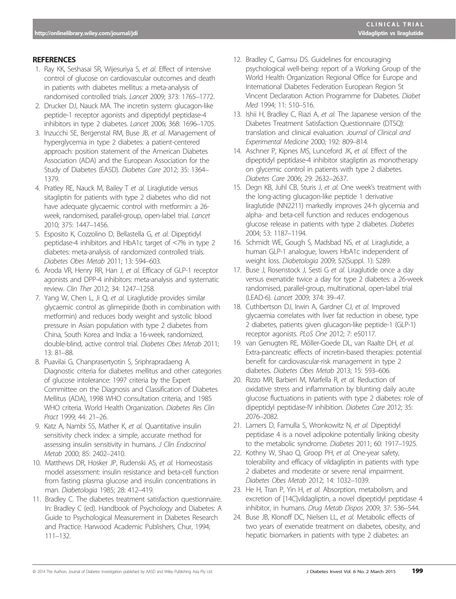## **REFERENCES**

- 1. Ray KK, Seshasai SR, Wijesuriya S, et al. Effect of intensive control of glucose on cardiovascular outcomes and death in patients with diabetes mellitus: a meta-analysis of randomised controlled trials. Lancet 2009; 373: 1765–1772.
- 2. Drucker DJ, Nauck MA. The incretin system: glucagon-like peptide-1 receptor agonists and dipeptidyl peptidase-4 inhibitors in type 2 diabetes. Lancet 2006; 368: 1696–1705.
- 3. Inzucchi SE, Bergenstal RM, Buse JB, et al. Management of hyperglycemia in type 2 diabetes: a patient-centered approach: position statement of the American Diabetes Association (ADA) and the European Association for the Study of Diabetes (EASD). Diabetes Care 2012; 35: 1364– 1379.
- 4. Pratley RE, Nauck M, Bailey T et al. Liraglutide versus sitagliptin for patients with type 2 diabetes who did not have adequate glycaemic control with metformin: a 26 week, randomised, parallel-group, open-label trial. Lancet 2010; 375: 1447–1456.
- 5. Esposito K, Cozzolino D, Bellastella G, et al. Dipeptidyl peptidase-4 inhibitors and HbA1c target of <7% in type 2 diabetes: meta-analysis of randomized controlled trials. Diabetes Obes Metab 2011; 13: 594–603.
- 6. Aroda VR, Henry RR, Han J, et al. Efficacy of GLP-1 receptor agonists and DPP-4 inhibitors: meta-analysis and systematic review. Clin Ther 2012; 34: 1247–1258.
- 7. Yang W, Chen L, Ji Q, et al. Liraglutide provides similar glycaemic control as glimepiride (both in combination with metformin) and reduces body weight and systolic blood pressure in Asian population with type 2 diabetes from China, South Korea and India: a 16-week, randomized, double-blind, active control trial. Diabetes Obes Metab 2011; 13: 81–88.
- 8. Puavilai G, Chanprasertyotin S, Sriphrapradaeng A. Diagnostic criteria for diabetes mellitus and other categories of glucose intolerance: 1997 criteria by the Expert Committee on the Diagnosis and Classification of Diabetes Mellitus (ADA), 1998 WHO consultation criteria, and 1985 WHO criteria. World Health Organization. Diabetes Res Clin Pract 1999; 44: 21–26.
- 9. Katz A, Nambi SS, Mather K, et al. Quantitative insulin sensitivity check index: a simple, accurate method for assessing insulin sensitivity in humans. J Clin Endocrinol Metab 2000; 85: 2402–2410.
- 10. Matthews DR, Hosker JP, Rudenski AS, et al. Homeostasis model assessment: insulin resistance and beta-cell function from fasting plasma glucose and insulin concentrations in man. Diabetologia 1985; 28: 412–419.
- 11. Bradley C. The diabetes treatment satisfaction questionnaire. In: Bradley C (ed). Handbook of Psychology and Diabetes: A Guide to Psychological Measurement in Diabetes Research and Practice. Harwood Academic Publishers, Chur, 1994; 111–132.
- 12. Bradley C, Gamsu DS. Guidelines for encouraging psychological well-being: report of a Working Group of the World Health Organization Regional Office for Europe and International Diabetes Federation European Region St Vincent Declaration Action Programme for Diabetes. Diabet Med 1994; 11: 510–516.
- 13. Ishii H, Bradley C, Riazi A, et al. The Japanese version of the Diabetes Treatment Satisfaction Questionnaire (DTSQ): translation and clinical evaluation. Journal of Clinical and Experimental Medicine 2000; 192: 809–814.
- 14. Aschner P, Kipnes MS, Lunceford JK, et al. Effect of the dipeptidyl peptidase-4 inhibitor sitagliptin as monotherapy on glycemic control in patients with type 2 diabetes. Diabetes Care 2006; 29: 2632–2637.
- 15. Degn KB, Juhl CB, Sturis J, et al. One week's treatment with the long-acting glucagon-like peptide 1 derivative liraglutide (NN2211) markedly improves 24-h glycemia and alpha- and beta-cell function and reduces endogenous glucose release in patients with type 2 diabetes. Diabetes 2004; 53: 1187–1194.
- 16. Schmidt WE, Gough S, Madsbad NS, et al. Liraglutide, a human GLP-1 analogue, lowers HbA1c independent of weight loss. Diabetologia 2009; 52(Suppl. 1): S289.
- 17. Buse J, Rosenstock J, Sesti G et al. Liraglutide once a day versus exenatide twice a day for type 2 diabetes: a 26-week randomised, parallel-group, multinational, open-label trial (LEAD-6). Lancet 2009; 374: 39–47.
- 18. Cuthbertson DJ, Irwin A, Gardner CJ, et al. Improved glycaemia correlates with liver fat reduction in obese, type 2 diabetes, patients given glucagon-like peptide-1 (GLP-1) receptor agonists. PLoS One 2012; 7: e50117.
- 19. van Genugten RE, Möller-Goede DL, van Raalte DH, et al. Extra-pancreatic effects of incretin-based therapies: potential benefit for cardiovascular-risk management in type 2 diabetes. Diabetes Obes Metab 2013; 15: 593–606.
- 20. Rizzo MR, Barbieri M, Marfella R, et al. Reduction of oxidative stress and inflammation by blunting daily acute glucose fluctuations in patients with type 2 diabetes: role of dipeptidyl peptidase-IV inhibition. Diabetes Care 2012; 35: 2076–2082.
- 21. Lamers D, Famulla S, Wronkowitz N, et al. Dipeptidyl peptidase 4 is a novel adipokine potentially linking obesity to the metabolic syndrome. Diabetes 2011; 60: 1917–1925.
- 22. Kothny W, Shao Q, Groop PH, et al. One-year safety, tolerability and efficacy of vildagliptin in patients with type 2 diabetes and moderate or severe renal impairment. Diabetes Obes Metab 2012; 14: 1032–1039.
- 23. He H, Tran P, Yin H, et al. Absorption, metabolism, and excretion of [14C]vildagliptin, a novel dipeptidyl peptidase 4 inhibitor, in humans. Drug Metab Dispos 2009; 37: 536–544.
- 24. Buse JB, Klonoff DC, Nielsen LL, et al. Metabolic effects of two years of exenatide treatment on diabetes, obesity, and hepatic biomarkers in patients with type 2 diabetes: an